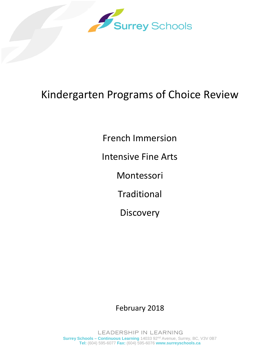

# Kindergarten Programs of Choice Review

French Immersion

Intensive Fine Arts

Montessori

**Traditional** 

**Discovery** 

February 2018

LEADERSHIP IN LEARNING **Surrey Schools - Continuous Learning** 14033 92<sup>nd</sup> Avenue, Surrey, BC, V3V 0B7 **Tel:** (604) 595-6077 **Fax:** (604) 595-6076 **www.surreyschools.ca**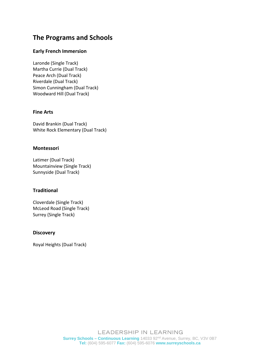# **The Programs and Schools**

#### **Early French Immersion**

Laronde (Single Track) Martha Currie (Dual Track) Peace Arch (Dual Track) Riverdale (Dual Track) Simon Cunningham (Dual Track) Woodward Hill (Dual Track)

#### **Fine Arts**

David Brankin (Dual Track) White Rock Elementary (Dual Track)

#### **Montessori**

Latimer (Dual Track) Mountainview (Single Track) Sunnyside (Dual Track)

#### **Traditional**

Cloverdale (Single Track) McLeod Road (Single Track) Surrey (Single Track)

#### **Discovery**

Royal Heights (Dual Track)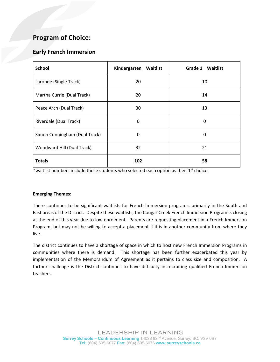### **Early French Immersion**

| <b>School</b>                 | Kindergarten<br>Waitlist | Grade 1<br><b>Waitlist</b> |
|-------------------------------|--------------------------|----------------------------|
| Laronde (Single Track)        | 20                       | 10                         |
| Martha Currie (Dual Track)    | 20                       | 14                         |
| Peace Arch (Dual Track)       | 30                       | 13                         |
| Riverdale (Dual Track)        | $\Omega$                 | 0                          |
| Simon Cunningham (Dual Track) | $\Omega$                 | 0                          |
| Woodward Hill (Dual Track)    | 32                       | 21                         |
| <b>Totals</b>                 | 102                      | 58                         |

\*waitlist numbers include those students who selected each option as their 1<sup>st</sup> choice.

#### **Emerging Themes:**

There continues to be significant waitlists for French Immersion programs, primarily in the South and East areas of the District. Despite these waitlists, the Cougar Creek French Immersion Program is closing at the end of this year due to low enrolment. Parents are requesting placement in a French Immersion Program, but may not be willing to accept a placement if it is in another community from where they live.

The district continues to have a shortage of space in which to host new French Immersion Programs in communities where there is demand. This shortage has been further exacerbated this year by implementation of the Memorandum of Agreement as it pertains to class size and composition. A further challenge is the District continues to have difficulty in recruiting qualified French Immersion teachers.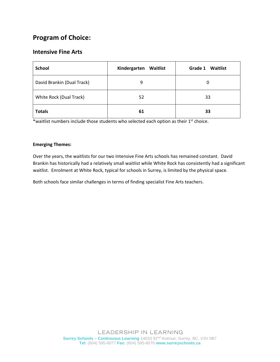### **Intensive Fine Arts**

| <b>School</b>              | Kindergarten<br>Waitlist | Grade 1<br>Waitlist |
|----------------------------|--------------------------|---------------------|
| David Brankin (Dual Track) | 9                        | 0                   |
| White Rock (Dual Track)    | 52                       | 33                  |
| <b>Totals</b>              | 61                       | 33                  |

\*waitlist numbers include those students who selected each option as their 1<sup>st</sup> choice.

#### **Emerging Themes:**

Over the years, the waitlists for our two Intensive Fine Arts schools has remained constant. David Brankin has historically had a relatively small waitlist while White Rock has consistently had a significant waitlist. Enrolment at White Rock, typical for schools in Surrey, is limited by the physical space.

Both schools face similar challenges in terms of finding specialist Fine Arts teachers.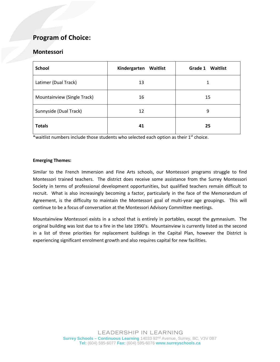### **Montessori**

| <b>School</b>               | Kindergarten<br>Waitlist | Grade 1<br>Waitlist |
|-----------------------------|--------------------------|---------------------|
| Latimer (Dual Track)        | 13                       |                     |
| Mountainview (Single Track) | 16                       | 15                  |
| Sunnyside (Dual Track)      | 12                       | 9                   |
| <b>Totals</b>               | 41                       | 25                  |

\*waitlist numbers include those students who selected each option as their 1<sup>st</sup> choice.

#### **Emerging Themes:**

Similar to the French Immersion and Fine Arts schools, our Montessori programs struggle to find Montessori trained teachers. The district does receive some assistance from the Surrey Montessori Society in terms of professional development opportunities, but qualified teachers remain difficult to recruit. What is also increasingly becoming a factor, particularly in the face of the Memorandum of Agreement, is the difficulty to maintain the Montessori goal of multi-year age groupings. This will continue to be a focus of conversation at the Montessori Advisory Committee meetings.

Mountainview Montessori exists in a school that is entirely in portables, except the gymnasium. The original building was lost due to a fire in the late 1990's. Mountainview is currently listed as the second in a list of three priorities for replacement buildings in the Capital Plan, however the District is experiencing significant enrolment growth and also requires capital for new facilities.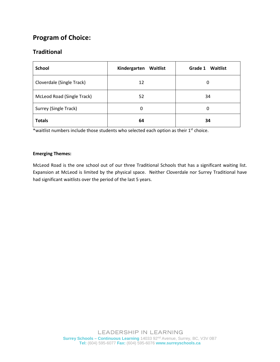### **Traditional**

| <b>School</b>              | Kindergarten<br>Waitlist | Grade 1<br><b>Waitlist</b> |
|----------------------------|--------------------------|----------------------------|
| Cloverdale (Single Track)  | 12                       | 0                          |
| McLeod Road (Single Track) | 52                       | 34                         |
| Surrey (Single Track)      | 0                        | 0                          |
| <b>Totals</b>              | 64                       | 34                         |

\*waitlist numbers include those students who selected each option as their 1<sup>st</sup> choice.

#### **Emerging Themes:**

McLeod Road is the one school out of our three Traditional Schools that has a significant waiting list. Expansion at McLeod is limited by the physical space. Neither Cloverdale nor Surrey Traditional have had significant waitlists over the period of the last 5 years.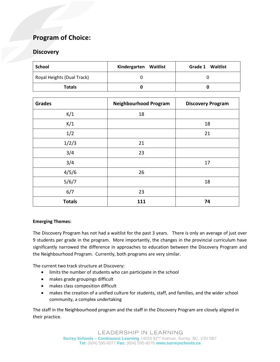### **Discovery**

| School                     | Kindergarten Waitlist | <b>Grade 1 Waitlist</b> |
|----------------------------|-----------------------|-------------------------|
| Royal Heights (Dual Track) |                       |                         |
| <b>Totals</b>              |                       |                         |

| <b>Grades</b> | <b>Neighbourhood Program</b> | <b>Discovery Program</b> |
|---------------|------------------------------|--------------------------|
| K/1           | 18                           |                          |
| K/1           |                              | 18                       |
| 1/2           |                              | 21                       |
| 1/2/3         | 21                           |                          |
| 3/4           | 23                           |                          |
| 3/4           |                              | 17                       |
| 4/5/6         | 26                           |                          |
| 5/6/7         |                              | 18                       |
| 6/7           | 23                           |                          |
| <b>Totals</b> | 111                          | 74                       |

#### **Emerging Themes:**

The Discovery Program has not had a waitlist for the past 3 years. There is only an average of just over 9 students per grade in the program. More importantly, the changes in the provincial curriculum have significantly narrowed the difference in approaches to education between the Discovery Program and the Neighbourhood Program. Currently, both programs are very similar.

The current two track structure at Discovery:

- limits the number of students who can participate in the school
- makes grade groupings difficult
- makes class composition difficult
- makes the creation of a unified culture for students, staff, and families, and the wider school community, a complex undertaking

The staff in the Neighbourhood program and the staff in the Discovery Program are closely aligned in their practice.